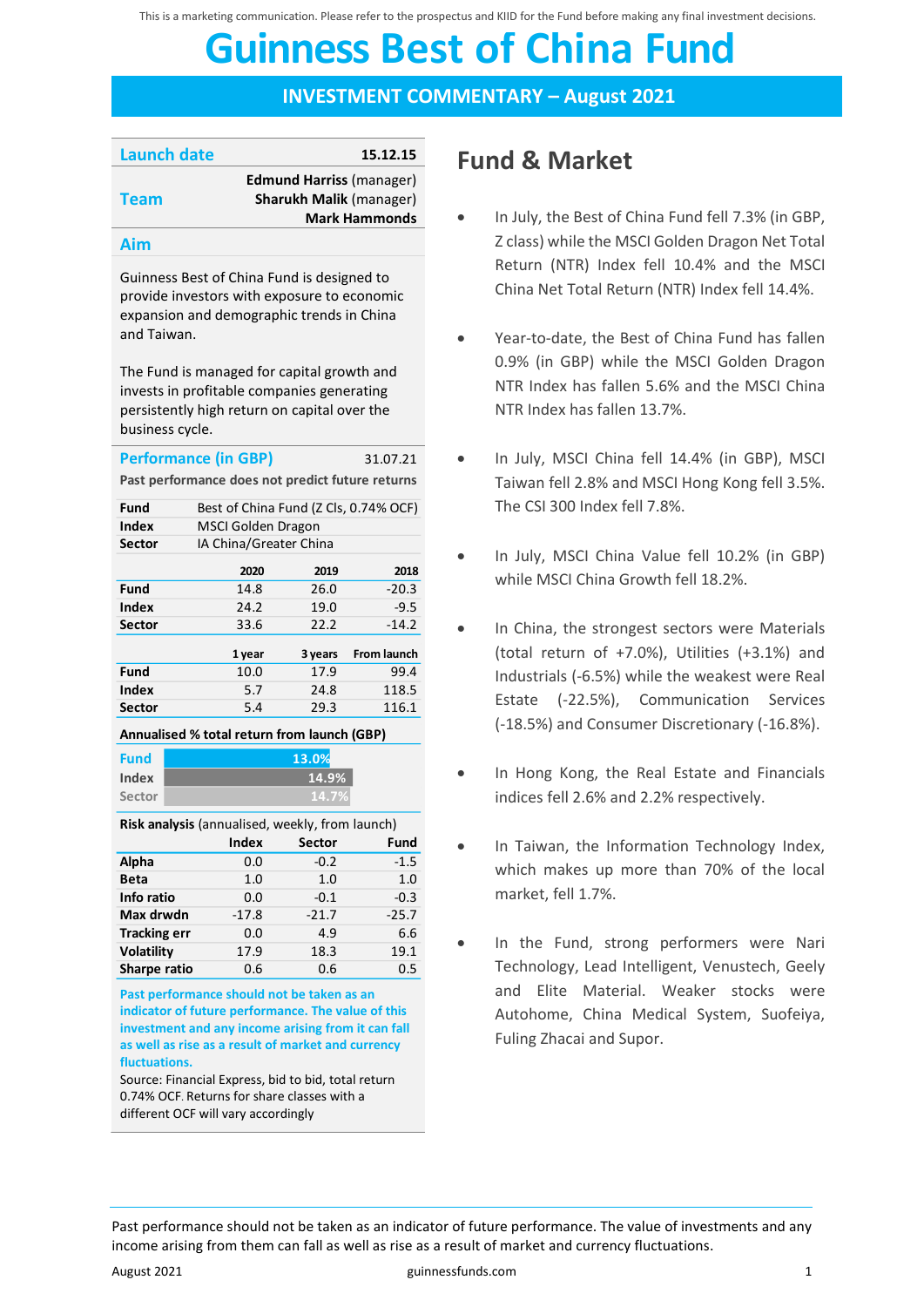This is a marketing communication. Please refer to the prospectus and KIID for the Fund before making any final investment decisions.

# **Guinness Best of China Fund Guinness Best of China Fund**

**INVESTMENT COMMENTARY – August 2021**

| Launch date | 15.12.15                        |
|-------------|---------------------------------|
| <b>Team</b> | <b>Edmund Harriss (manager)</b> |
|             | <b>Sharukh Malik (manager)</b>  |
|             | <b>Mark Hammonds</b>            |
|             |                                 |

#### **Aim**

Guinness Best of China Fund is designed to provide investors with exposure to economic expansion and demographic trends in China and Taiwan.

The Fund is managed for capital growth and invests in profitable companies generating persistently high return on capital over the business cycle.

| <b>Performance (in GBP)</b>                      |        |                                       | 31.07.21           |  |  |
|--------------------------------------------------|--------|---------------------------------------|--------------------|--|--|
| Past performance does not predict future returns |        |                                       |                    |  |  |
| Fund                                             |        | Best of China Fund (Z Cls, 0.74% OCF) |                    |  |  |
| Index                                            |        | MSCI Golden Dragon                    |                    |  |  |
| Sector                                           |        | IA China/Greater China                |                    |  |  |
|                                                  | 2020   | 2019                                  | 2018               |  |  |
| Fund                                             | 14.8   | 26.0                                  | $-20.3$            |  |  |
| Index                                            | 24.2   | 19.0                                  | $-9.5$             |  |  |
| Sector                                           | 33.6   | 22.2                                  | $-14.2$            |  |  |
|                                                  | 1 year | 3 years                               | <b>From launch</b> |  |  |
| Fund                                             | 10.0   | 17.9                                  | 99.4               |  |  |
| Index                                            | 5.7    | 24.8                                  | 118.5              |  |  |
| Sector                                           | 5.4    | 29.3                                  | 116.1              |  |  |
|                                                  |        |                                       |                    |  |  |

| <b>Fund</b> | 13.0% |
|-------------|-------|
| Index       | 14.9  |
| Sector      | 14.   |

**Risk analysis** (annualised, weekly, from launch)

**14.7% 14.9%**

|                     | Index   | <b>Sector</b> | Fund    |
|---------------------|---------|---------------|---------|
| Alpha               | 0.0     | $-0.2$        | $-1.5$  |
| <b>Beta</b>         | 1.0     | 1.0           | 1.0     |
| Info ratio          | 0.0     | $-0.1$        | $-0.3$  |
| Max drwdn           | $-17.8$ | $-21.7$       | $-25.7$ |
| <b>Tracking err</b> | 0.0     | 4.9           | 6.6     |
| <b>Volatility</b>   | 17.9    | 18.3          | 19.1    |
| Sharpe ratio        | 0.6     | 0.6           | 0.5     |

**Past performance should not be taken as an indicator of future performance. The value of this investment and any income arising from it can fall as well as rise as a result of market and currency fluctuations.** 

Source: Financial Express, bid to bid, total return 0.74% OCF. Returns for share classes with a different OCF will vary accordingly

### **Fund & Market**

- In July, the Best of China Fund fell 7.3% (in GBP. Z class) while the MSCI Golden Dragon Net Total Return (NTR) Index fell 10.4% and the MSCI China Net Total Return (NTR) Index fell 14.4%.
- Year-to-date, the Best of China Fund has fallen 0.9% (in GBP) while the MSCI Golden Dragon NTR Index has fallen 5.6% and the MSCI China NTR Index has fallen 13.7%.
- In July, MSCI China fell 14.4% (in GBP), MSCI Taiwan fell 2.8% and MSCI Hong Kong fell 3.5%. The CSI 300 Index fell 7.8%.
- In July, MSCI China Value fell 10.2% (in GBP) while MSCI China Growth fell 18.2%.
- In China, the strongest sectors were Materials (total return of +7.0%), Utilities (+3.1%) and Industrials (-6.5%) while the weakest were Real Estate (-22.5%), Communication Services (-18.5%) and Consumer Discretionary (-16.8%).
- In Hong Kong, the Real Estate and Financials indices fell 2.6% and 2.2% respectively.
- In Taiwan, the Information Technology Index, which makes up more than 70% of the local market, fell 1.7%.
- In the Fund, strong performers were Nari Technology, Lead Intelligent, Venustech, Geely and Elite Material. Weaker stocks were Autohome, China Medical System, Suofeiya, Fuling Zhacai and Supor.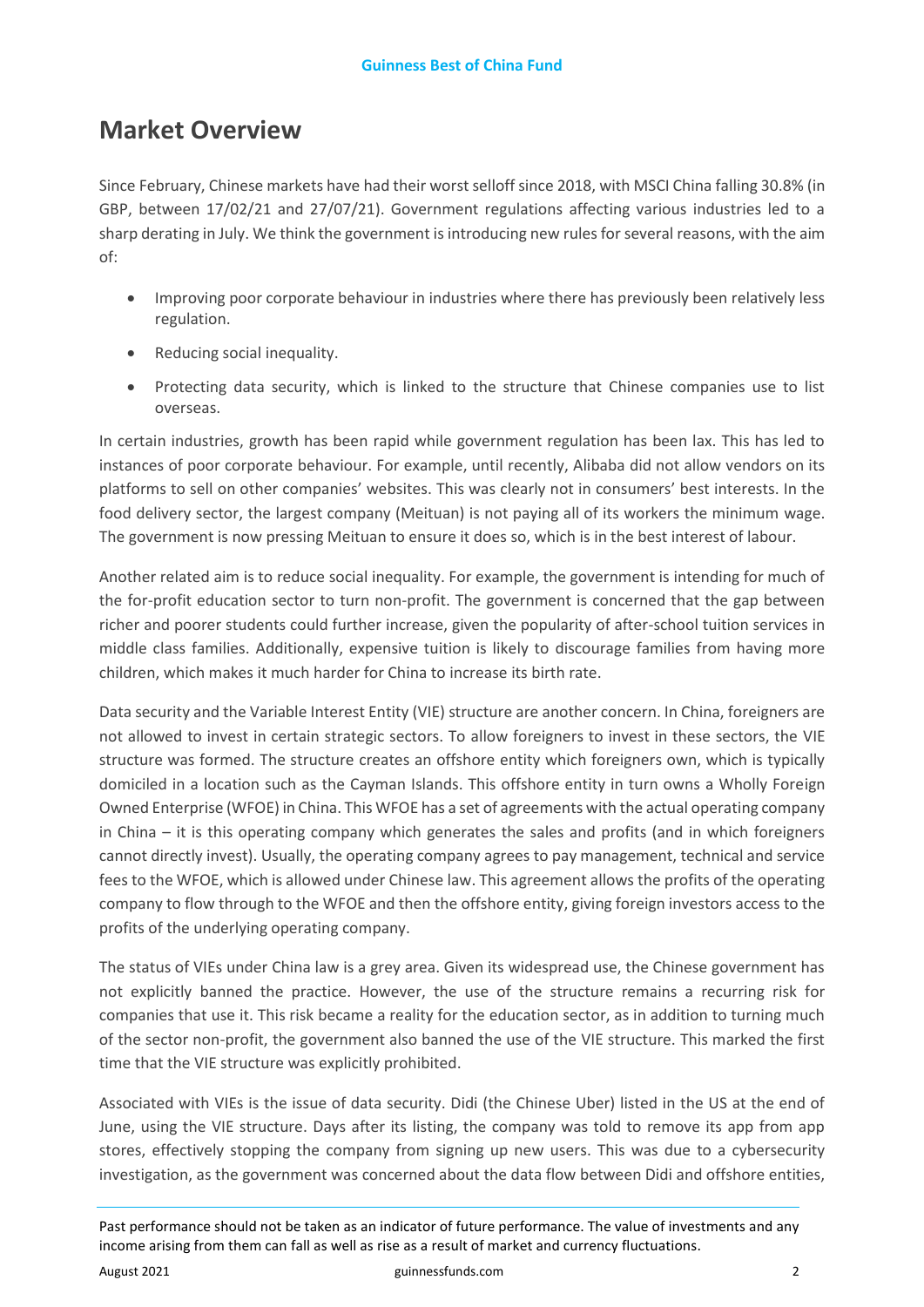### **Market Overview**

Since February, Chinese markets have had their worst selloff since 2018, with MSCI China falling 30.8% (in GBP, between 17/02/21 and 27/07/21). Government regulations affecting various industries led to a sharp derating in July. We think the government is introducing new rules for several reasons, with the aim of:

- Improving poor corporate behaviour in industries where there has previously been relatively less regulation.
- Reducing social inequality.
- Protecting data security, which is linked to the structure that Chinese companies use to list overseas.

In certain industries, growth has been rapid while government regulation has been lax. This has led to instances of poor corporate behaviour. For example, until recently, Alibaba did not allow vendors on its platforms to sell on other companies' websites. This was clearly not in consumers' best interests. In the food delivery sector, the largest company (Meituan) is not paying all of its workers the minimum wage. The government is now pressing Meituan to ensure it does so, which is in the best interest of labour.

Another related aim is to reduce social inequality. For example, the government is intending for much of the for-profit education sector to turn non-profit. The government is concerned that the gap between richer and poorer students could further increase, given the popularity of after-school tuition services in middle class families. Additionally, expensive tuition is likely to discourage families from having more children, which makes it much harder for China to increase its birth rate.

Data security and the Variable Interest Entity (VIE) structure are another concern. In China, foreigners are not allowed to invest in certain strategic sectors. To allow foreigners to invest in these sectors, the VIE structure was formed. The structure creates an offshore entity which foreigners own, which is typically domiciled in a location such as the Cayman Islands. This offshore entity in turn owns a Wholly Foreign Owned Enterprise (WFOE) in China. This WFOE has a set of agreements with the actual operating company in China – it is this operating company which generates the sales and profits (and in which foreigners cannot directly invest). Usually, the operating company agrees to pay management, technical and service fees to the WFOE, which is allowed under Chinese law. This agreement allows the profits of the operating company to flow through to the WFOE and then the offshore entity, giving foreign investors access to the profits of the underlying operating company.

The status of VIEs under China law is a grey area. Given its widespread use, the Chinese government has not explicitly banned the practice. However, the use of the structure remains a recurring risk for companies that use it. This risk became a reality for the education sector, as in addition to turning much of the sector non-profit, the government also banned the use of the VIE structure. This marked the first time that the VIE structure was explicitly prohibited.

Associated with VIEs is the issue of data security. Didi (the Chinese Uber) listed in the US at the end of June, using the VIE structure. Days after its listing, the company was told to remove its app from app stores, effectively stopping the company from signing up new users. This was due to a cybersecurity investigation, as the government was concerned about the data flow between Didi and offshore entities,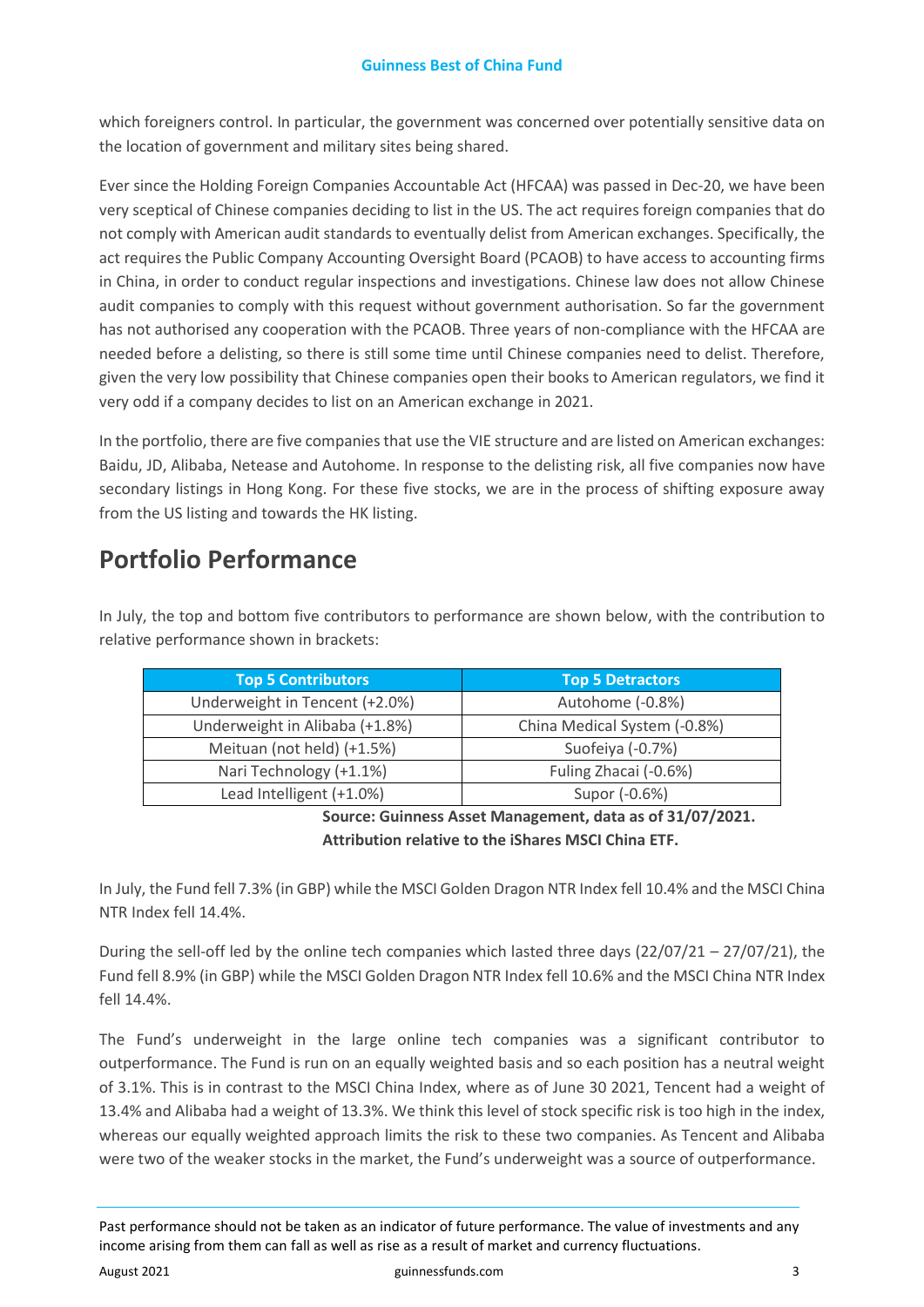which foreigners control. In particular, the government was concerned over potentially sensitive data on the location of government and military sites being shared.

Ever since the Holding Foreign Companies Accountable Act (HFCAA) was passed in Dec-20, we have been very sceptical of Chinese companies deciding to list in the US. The act requires foreign companies that do not comply with American audit standards to eventually delist from American exchanges. Specifically, the act requires the Public Company Accounting Oversight Board (PCAOB) to have access to accounting firms in China, in order to conduct regular inspections and investigations. Chinese law does not allow Chinese audit companies to comply with this request without government authorisation. So far the government has not authorised any cooperation with the PCAOB. Three years of non-compliance with the HFCAA are needed before a delisting, so there is still some time until Chinese companies need to delist. Therefore, given the very low possibility that Chinese companies open their books to American regulators, we find it very odd if a company decides to list on an American exchange in 2021.

In the portfolio, there are five companies that use the VIE structure and are listed on American exchanges: Baidu, JD, Alibaba, Netease and Autohome. In response to the delisting risk, all five companies now have secondary listings in Hong Kong. For these five stocks, we are in the process of shifting exposure away from the US listing and towards the HK listing.

### **Portfolio Performance**

In July, the top and bottom five contributors to performance are shown below, with the contribution to relative performance shown in brackets:

| Top 5 Contributors             | <b>Top 5 Detractors</b>      |
|--------------------------------|------------------------------|
| Underweight in Tencent (+2.0%) | Autohome (-0.8%)             |
| Underweight in Alibaba (+1.8%) | China Medical System (-0.8%) |
| Meituan (not held) (+1.5%)     | Suofeiya (-0.7%)             |
| Nari Technology (+1.1%)        | Fuling Zhacai (-0.6%)        |
| Lead Intelligent (+1.0%)       | Supor (-0.6%)                |

**Source: Guinness Asset Management, data as of 31/07/2021. Attribution relative to the iShares MSCI China ETF.**

In July, the Fund fell 7.3% (in GBP) while the MSCI Golden Dragon NTR Index fell 10.4% and the MSCI China NTR Index fell 14.4%.

During the sell-off led by the online tech companies which lasted three days  $(22/07/21 - 27/07/21)$ , the Fund fell 8.9% (in GBP) while the MSCI Golden Dragon NTR Index fell 10.6% and the MSCI China NTR Index fell 14.4%.

The Fund's underweight in the large online tech companies was a significant contributor to outperformance. The Fund is run on an equally weighted basis and so each position has a neutral weight of 3.1%. This is in contrast to the MSCI China Index, where as of June 30 2021, Tencent had a weight of 13.4% and Alibaba had a weight of 13.3%. We think this level of stock specific risk is too high in the index, whereas our equally weighted approach limits the risk to these two companies. As Tencent and Alibaba were two of the weaker stocks in the market, the Fund's underweight was a source of outperformance.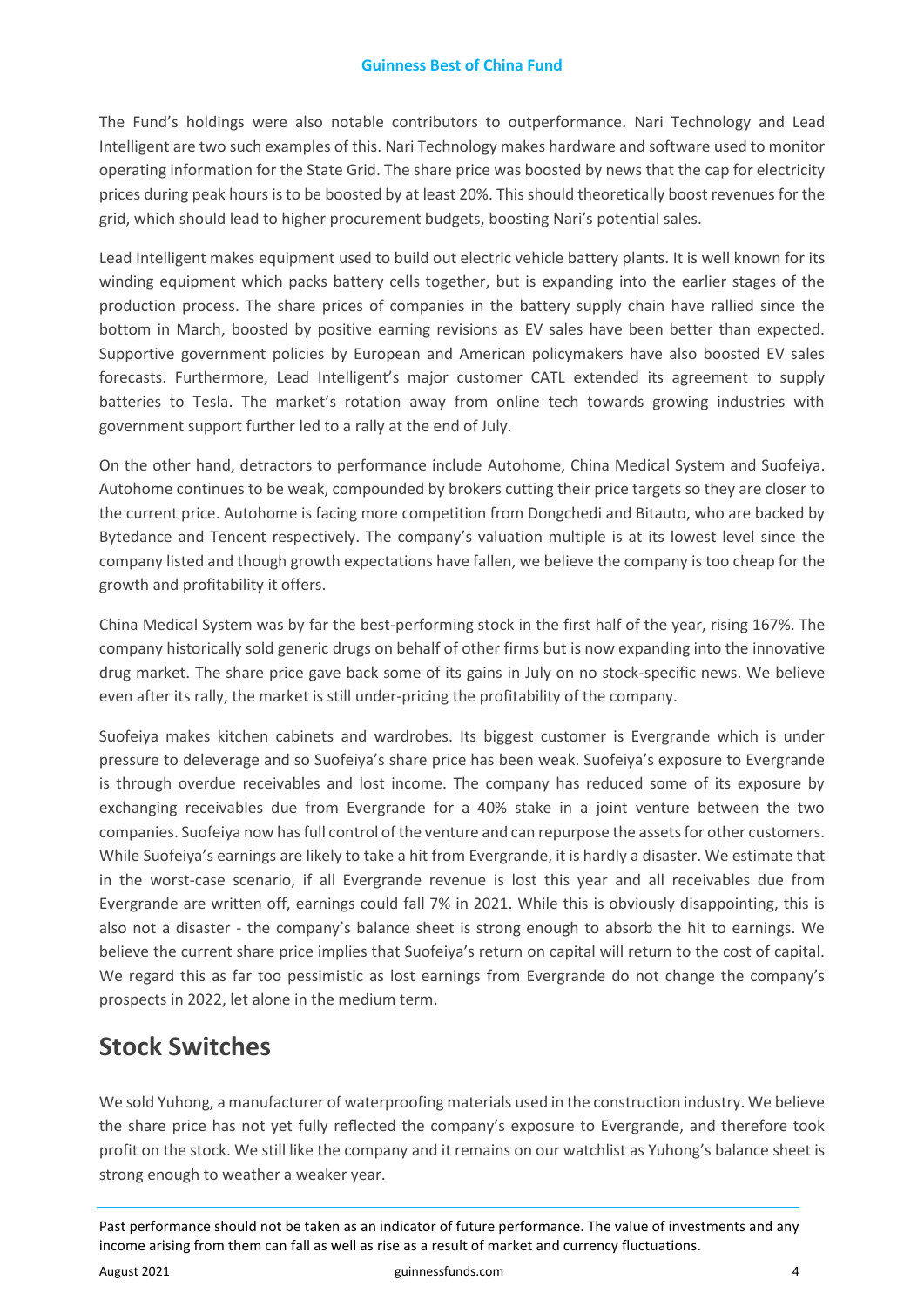The Fund's holdings were also notable contributors to outperformance. Nari Technology and Lead Intelligent are two such examples of this. Nari Technology makes hardware and software used to monitor operating information for the State Grid. The share price was boosted by news that the cap for electricity prices during peak hours is to be boosted by at least 20%. This should theoretically boost revenues for the grid, which should lead to higher procurement budgets, boosting Nari's potential sales.

Lead Intelligent makes equipment used to build out electric vehicle battery plants. It is well known for its winding equipment which packs battery cells together, but is expanding into the earlier stages of the production process. The share prices of companies in the battery supply chain have rallied since the bottom in March, boosted by positive earning revisions as EV sales have been better than expected. Supportive government policies by European and American policymakers have also boosted EV sales forecasts. Furthermore, Lead Intelligent's major customer CATL extended its agreement to supply batteries to Tesla. The market's rotation away from online tech towards growing industries with government support further led to a rally at the end of July.

On the other hand, detractors to performance include Autohome, China Medical System and Suofeiya. Autohome continues to be weak, compounded by brokers cutting their price targets so they are closer to the current price. Autohome is facing more competition from Dongchedi and Bitauto, who are backed by Bytedance and Tencent respectively. The company's valuation multiple is at its lowest level since the company listed and though growth expectations have fallen, we believe the company is too cheap for the growth and profitability it offers.

China Medical System was by far the best-performing stock in the first half of the year, rising 167%. The company historically sold generic drugs on behalf of other firms but is now expanding into the innovative drug market. The share price gave back some of its gains in July on no stock-specific news. We believe even after its rally, the market is still under-pricing the profitability of the company.

Suofeiya makes kitchen cabinets and wardrobes. Its biggest customer is Evergrande which is under pressure to deleverage and so Suofeiya's share price has been weak. Suofeiya's exposure to Evergrande is through overdue receivables and lost income. The company has reduced some of its exposure by exchanging receivables due from Evergrande for a 40% stake in a joint venture between the two companies. Suofeiya now has full control of the venture and can repurpose the assets for other customers. While Suofeiya's earnings are likely to take a hit from Evergrande, it is hardly a disaster. We estimate that in the worst-case scenario, if all Evergrande revenue is lost this year and all receivables due from Evergrande are written off, earnings could fall 7% in 2021. While this is obviously disappointing, this is also not a disaster - the company's balance sheet is strong enough to absorb the hit to earnings. We believe the current share price implies that Suofeiya's return on capital will return to the cost of capital. We regard this as far too pessimistic as lost earnings from Evergrande do not change the company's prospects in 2022, let alone in the medium term.

## **Stock Switches**

We sold Yuhong, a manufacturer of waterproofing materials used in the construction industry. We believe the share price has not yet fully reflected the company's exposure to Evergrande, and therefore took profit on the stock. We still like the company and it remains on our watchlist as Yuhong's balance sheet is strong enough to weather a weaker year.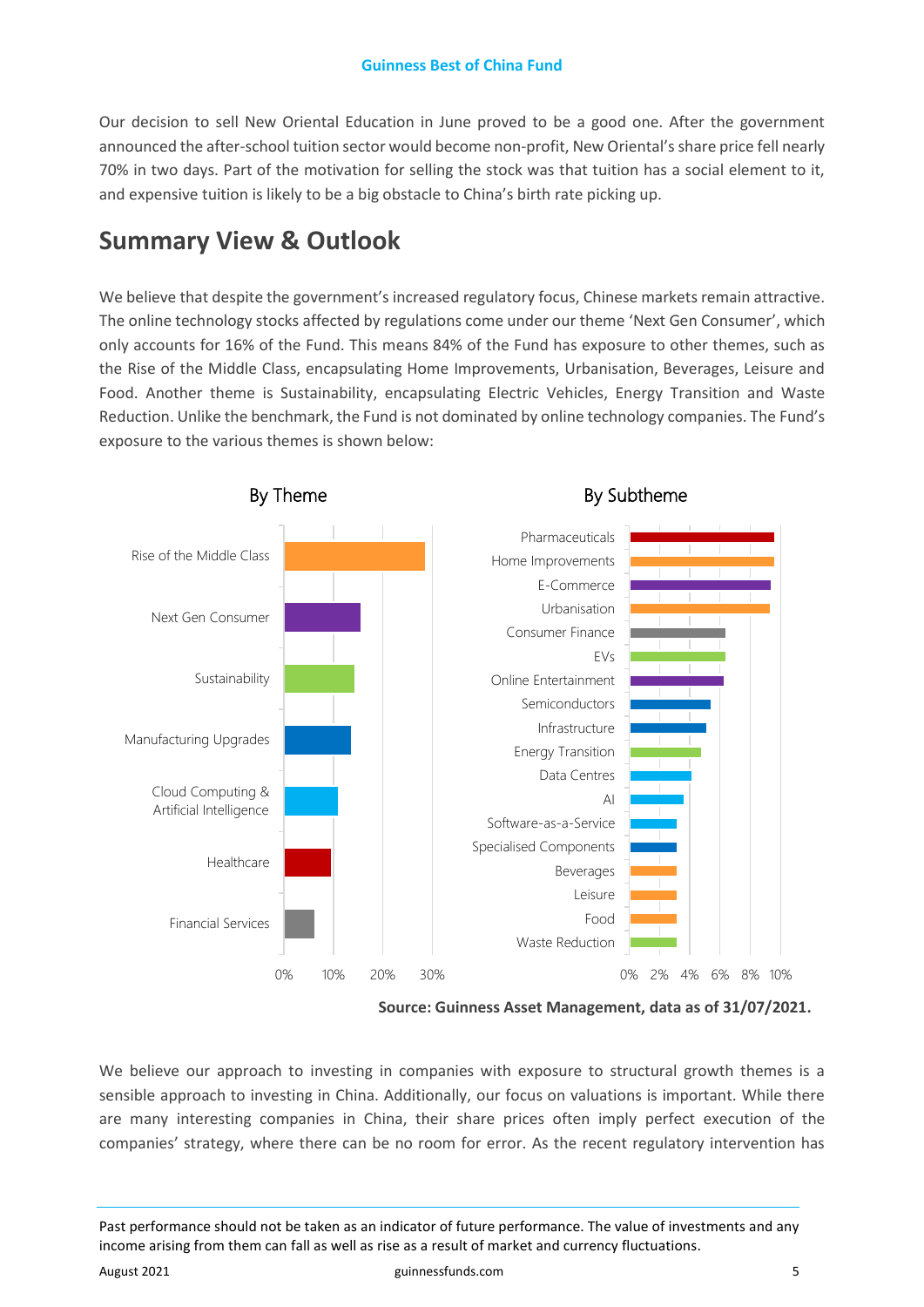Our decision to sell New Oriental Education in June proved to be a good one. After the government announced the after-school tuition sector would become non-profit, New Oriental's share price fell nearly 70% in two days. Part of the motivation for selling the stock was that tuition has a social element to it, and expensive tuition is likely to be a big obstacle to China's birth rate picking up.

### **Summary View & Outlook**

We believe that despite the government's increased regulatory focus, Chinese markets remain attractive. The online technology stocks affected by regulations come under our theme 'Next Gen Consumer', which only accounts for 16% of the Fund. This means 84% of the Fund has exposure to other themes, such as the Rise of the Middle Class, encapsulating Home Improvements, Urbanisation, Beverages, Leisure and Food. Another theme is Sustainability, encapsulating Electric Vehicles, Energy Transition and Waste Reduction. Unlike the benchmark, the Fund is not dominated by online technology companies. The Fund's exposure to the various themes is shown below:



**Source: Guinness Asset Management, data as of 31/07/2021.** 

We believe our approach to investing in companies with exposure to structural growth themes is a sensible approach to investing in China. Additionally, our focus on valuations is important. While there are many interesting companies in China, their share prices often imply perfect execution of the companies' strategy, where there can be no room for error. As the recent regulatory intervention has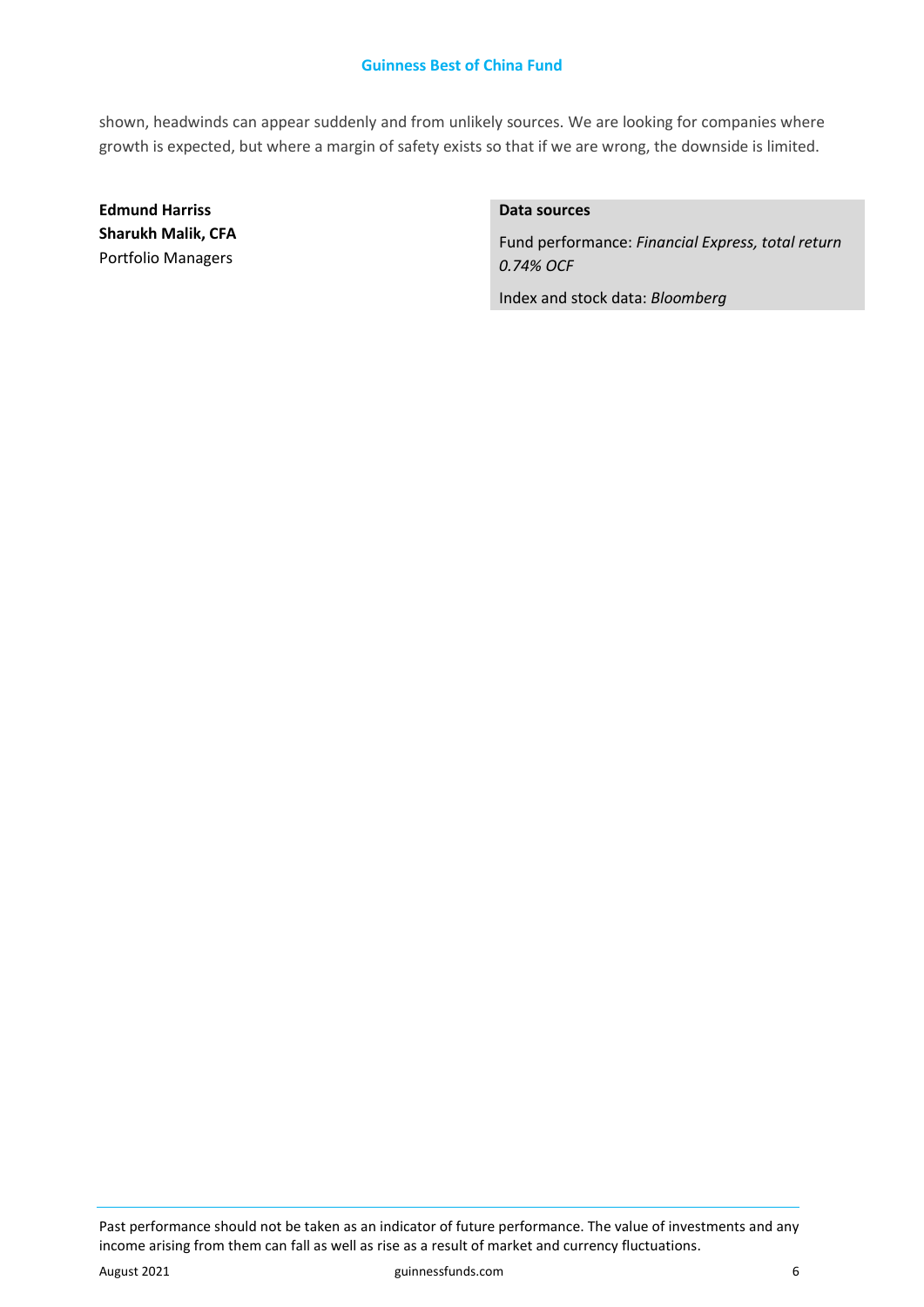#### **Guinness Best of China Fund**

shown, headwinds can appear suddenly and from unlikely sources. We are looking for companies where growth is expected, but where a margin of safety exists so that if we are wrong, the downside is limited.

**Edmund Harriss Sharukh Malik, CFA**  Portfolio Managers

#### **Data sources**

Fund performance: *Financial Express, total return 0.74% OCF*

Index and stock data: *Bloomberg*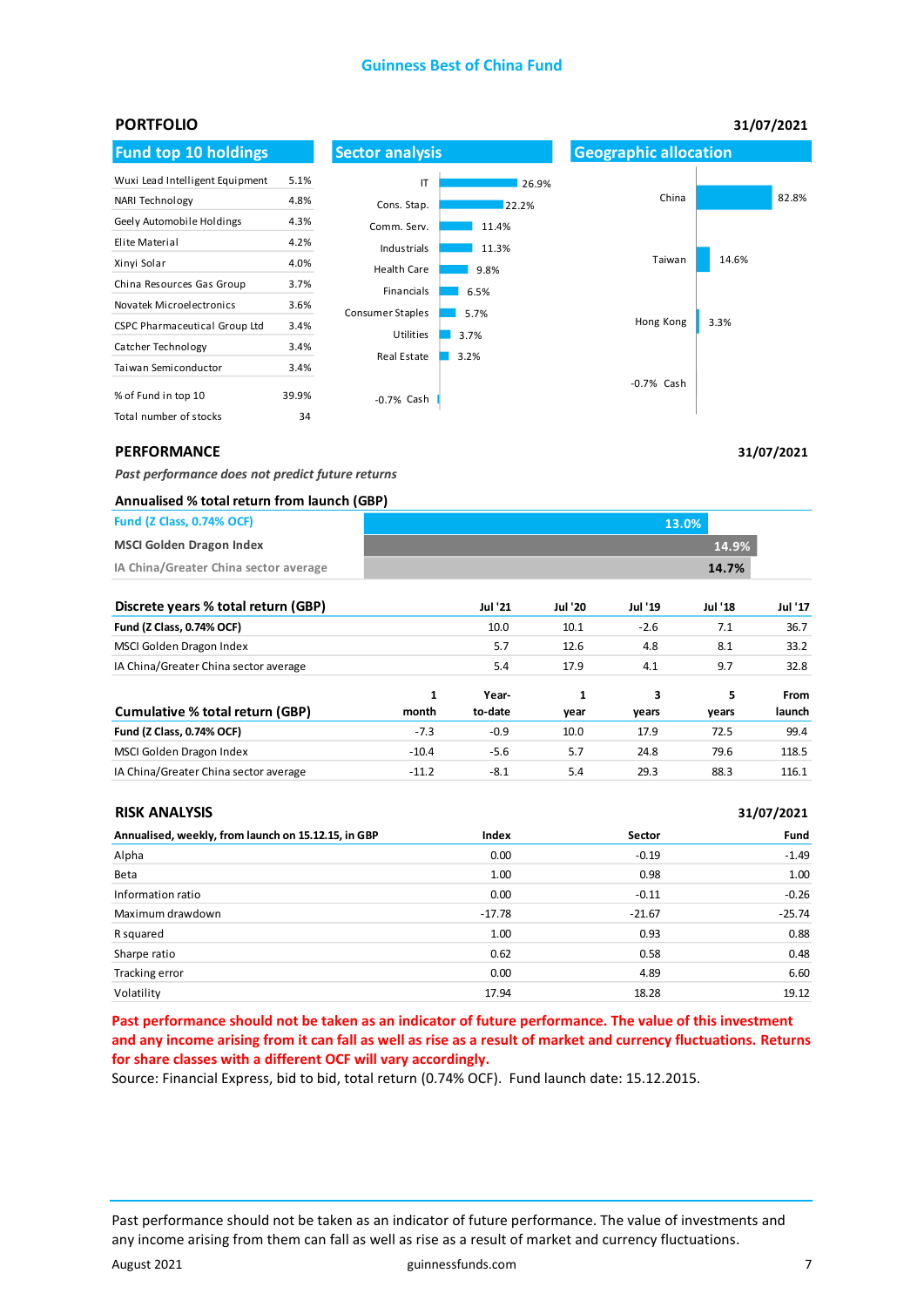#### **Guinness Best of China Fund**



**31/07/2021**

**31/07/2021**

#### **PERFORMANCE**

*Past performance does not predict future returns* 

#### **Annualised % total return from launch (GBP)**

| <b>Fund (Z Class, 0.74% OCF)</b>      | 13.0% |       |
|---------------------------------------|-------|-------|
| <b>MSCI Golden Dragon Index</b>       |       | 14.9% |
| IA China/Greater China sector average |       | 14.7% |

| Discrete years % total return (GBP)   |         | <b>Jul '21</b> | <b>Jul '20</b> | Jul '19 | <b>Jul '18</b> | <b>Jul '17</b> |
|---------------------------------------|---------|----------------|----------------|---------|----------------|----------------|
| Fund (Z Class, 0.74% OCF)             |         | 10.0           | 10.1           | $-2.6$  | 7.1            | 36.7           |
| MSCI Golden Dragon Index              |         | 5.7            | 12.6           | 4.8     | 8.1            | 33.2           |
| IA China/Greater China sector average |         | 5.4            | 17.9           | 4.1     | 9.7            | 32.8           |
|                                       | 1       | Year-          | 1              | 3       | 5              | From           |
| Cumulative % total return (GBP)       | month   | to-date        | year           | years   | years          | launch         |
| Fund (Z Class, 0.74% OCF)             | $-7.3$  | $-0.9$         | 10.0           | 17.9    | 72.5           | 99.4           |
| MSCI Golden Dragon Index              | $-10.4$ | $-5.6$         | 5.7            | 24.8    | 79.6           | 118.5          |
| IA China/Greater China sector average | $-11.2$ | $-8.1$         | 5.4            | 29.3    | 88.3           | 116.1          |

#### **RISK ANALYSIS**

| Annualised, weekly, from launch on 15.12.15, in GBP | Index    | Sector   | Fund     |
|-----------------------------------------------------|----------|----------|----------|
| Alpha                                               | 0.00     | $-0.19$  | $-1.49$  |
| Beta                                                | 1.00     | 0.98     | 1.00     |
| Information ratio                                   | 0.00     | $-0.11$  | $-0.26$  |
| Maximum drawdown                                    | $-17.78$ | $-21.67$ | $-25.74$ |
| R squared                                           | 1.00     | 0.93     | 0.88     |
| Sharpe ratio                                        | 0.62     | 0.58     | 0.48     |
| Tracking error                                      | 0.00     | 4.89     | 6.60     |
| Volatility                                          | 17.94    | 18.28    | 19.12    |

**Past performance should not be taken as an indicator of future performance. The value of this investment and any income arising from it can fall as well as rise as a result of market and currency fluctuations. Returns for share classes with a different OCF will vary accordingly.** 

Source: Financial Express, bid to bid, total return (0.74% OCF). Fund launch date: 15.12.2015.